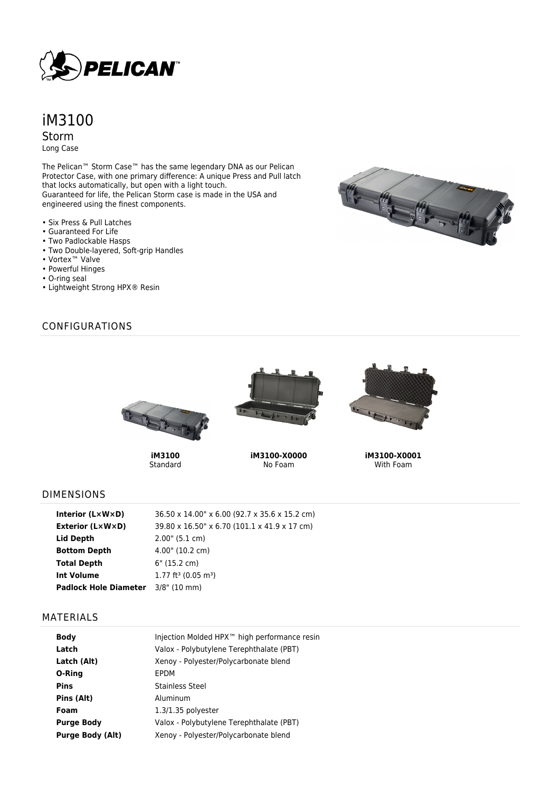

# iM3100 Storm

Long Case

The Pelican™ Storm Case™ has the same legendary DNA as our Pelican Protector Case, with one primary difference: A unique Press and Pull latch that locks automatically, but open with a light touch. Guaranteed for life, the Pelican Storm case is made in the USA and engineered using the finest components.

- Six Press & Pull Latches
- Guaranteed For Life
- Two Padlockable Hasps
- Two Double-layered, Soft-grip Handles
- Vortex™ Valve
- Powerful Hinges
- O-ring seal
- Lightweight Strong HPX® Resin



# CONFIGURATIONS



**iM3100** Standard



**iM3100-X0000** No Foam



**iM3100-X0001** With Foam

#### DIMENSIONS

| Interior (LxWxD)                          | 36.50 x 14.00" x 6.00 (92.7 x 35.6 x 15.2 cm) |
|-------------------------------------------|-----------------------------------------------|
| Exterior (L×W×D)                          | 39.80 x 16.50" x 6.70 (101.1 x 41.9 x 17 cm)  |
| Lid Depth                                 | $2.00$ " (5.1 cm)                             |
| <b>Bottom Depth</b>                       | 4.00" (10.2 cm)                               |
| <b>Total Depth</b>                        | 6" (15.2 cm)                                  |
| <b>Int Volume</b>                         | $1.77$ ft <sup>3</sup> (0.05 m <sup>3</sup> ) |
| <b>Padlock Hole Diameter</b> 3/8" (10 mm) |                                               |

### MATERIALS

| <b>Body</b>             | Injection Molded HPX™ high performance resin |
|-------------------------|----------------------------------------------|
| Latch                   | Valox - Polybutylene Terephthalate (PBT)     |
| Latch (Alt)             | Xenoy - Polyester/Polycarbonate blend        |
| O-Ring                  | EPDM                                         |
| <b>Pins</b>             | Stainless Steel                              |
| Pins (Alt)              | Aluminum                                     |
| Foam                    | $1.3/1.35$ polyester                         |
| <b>Purge Body</b>       | Valox - Polybutylene Terephthalate (PBT)     |
| <b>Purge Body (Alt)</b> | Xenoy - Polyester/Polycarbonate blend        |